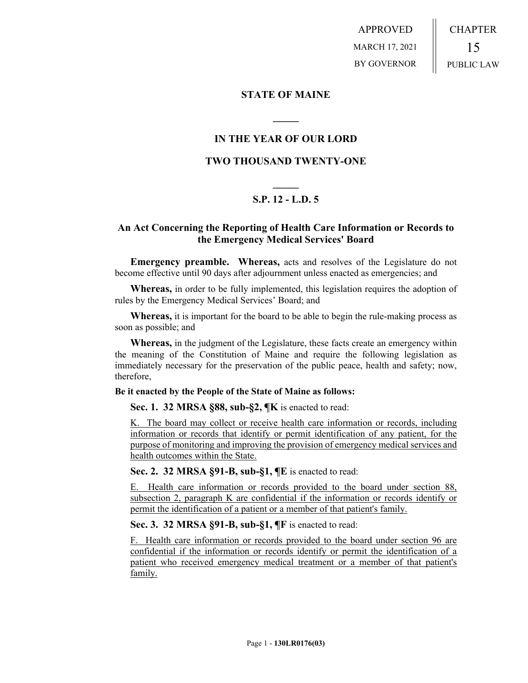APPROVED MARCH 17, 2021 BY GOVERNOR CHAPTER 15 PUBLIC LAW

## **STATE OF MAINE**

## **IN THE YEAR OF OUR LORD**

**\_\_\_\_\_**

## **TWO THOUSAND TWENTY-ONE**

# **\_\_\_\_\_ S.P. 12 - L.D. 5**

## **An Act Concerning the Reporting of Health Care Information or Records to the Emergency Medical Services' Board**

**Emergency preamble. Whereas,** acts and resolves of the Legislature do not become effective until 90 days after adjournment unless enacted as emergencies; and

**Whereas,** in order to be fully implemented, this legislation requires the adoption of rules by the Emergency Medical Services' Board; and

**Whereas,** it is important for the board to be able to begin the rule-making process as soon as possible; and

**Whereas,** in the judgment of the Legislature, these facts create an emergency within the meaning of the Constitution of Maine and require the following legislation as immediately necessary for the preservation of the public peace, health and safety; now, therefore,

#### **Be it enacted by the People of the State of Maine as follows:**

**Sec. 1. 32 MRSA §88, sub-§2, ¶K** is enacted to read:

K. The board may collect or receive health care information or records, including information or records that identify or permit identification of any patient, for the purpose of monitoring and improving the provision of emergency medical services and health outcomes within the State.

**Sec. 2. 32 MRSA §91-B, sub-§1, ¶E** is enacted to read:

E. Health care information or records provided to the board under section 88, subsection 2, paragraph K are confidential if the information or records identify or permit the identification of a patient or a member of that patient's family.

**Sec. 3. 32 MRSA §91-B, sub-§1, ¶F** is enacted to read:

F. Health care information or records provided to the board under section 96 are confidential if the information or records identify or permit the identification of a patient who received emergency medical treatment or a member of that patient's family.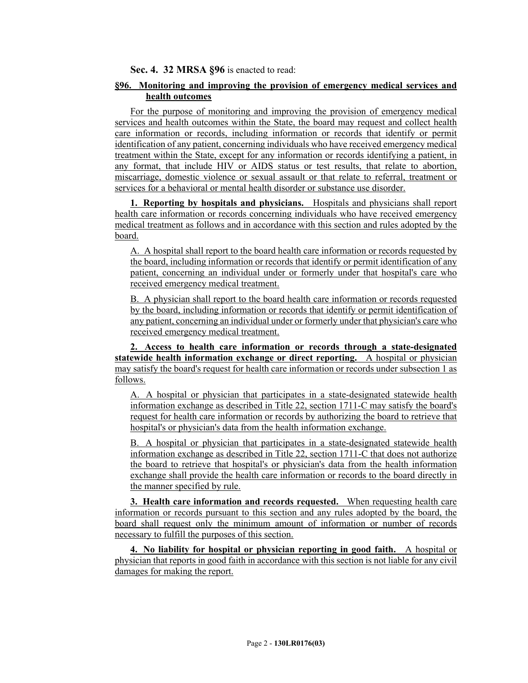**Sec. 4. 32 MRSA §96** is enacted to read:

### **§96. Monitoring and improving the provision of emergency medical services and health outcomes**

For the purpose of monitoring and improving the provision of emergency medical services and health outcomes within the State, the board may request and collect health care information or records, including information or records that identify or permit identification of any patient, concerning individuals who have received emergency medical treatment within the State, except for any information or records identifying a patient, in any format, that include HIV or AIDS status or test results, that relate to abortion, miscarriage, domestic violence or sexual assault or that relate to referral, treatment or services for a behavioral or mental health disorder or substance use disorder.

**1. Reporting by hospitals and physicians.** Hospitals and physicians shall report health care information or records concerning individuals who have received emergency medical treatment as follows and in accordance with this section and rules adopted by the board.

A. A hospital shall report to the board health care information or records requested by the board, including information or records that identify or permit identification of any patient, concerning an individual under or formerly under that hospital's care who received emergency medical treatment.

B. A physician shall report to the board health care information or records requested by the board, including information or records that identify or permit identification of any patient, concerning an individual under or formerly under that physician's care who received emergency medical treatment.

**2. Access to health care information or records through a state-designated statewide health information exchange or direct reporting.** A hospital or physician may satisfy the board's request for health care information or records under subsection 1 as follows.

A. A hospital or physician that participates in a state-designated statewide health information exchange as described in Title 22, section 1711-C may satisfy the board's request for health care information or records by authorizing the board to retrieve that hospital's or physician's data from the health information exchange.

B. A hospital or physician that participates in a state-designated statewide health information exchange as described in Title 22, section 1711-C that does not authorize the board to retrieve that hospital's or physician's data from the health information exchange shall provide the health care information or records to the board directly in the manner specified by rule.

**3. Health care information and records requested.** When requesting health care information or records pursuant to this section and any rules adopted by the board, the board shall request only the minimum amount of information or number of records necessary to fulfill the purposes of this section.

**4. No liability for hospital or physician reporting in good faith.** A hospital or physician that reports in good faith in accordance with this section is not liable for any civil damages for making the report.